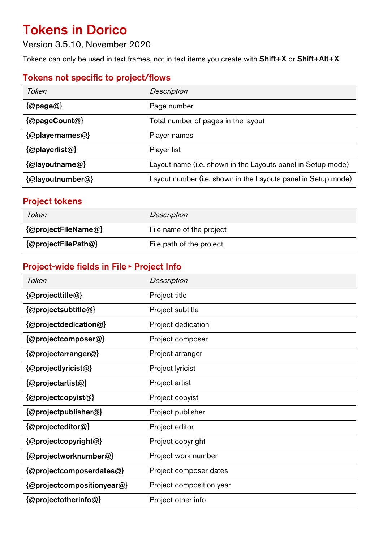# Tokens in Dorico

Version 3.5.10, November 2020

Tokens can only be used in text frames, not in text items you create with Shift+X or Shift+Alt+X.

# Tokens not specific to project/flows

| Token                                                | Description                                                   |
|------------------------------------------------------|---------------------------------------------------------------|
| $\{\textcircled{a}$ page $\textcircled{a}\}$         | Page number                                                   |
| $\{\textcircled{a}$ pageCount $\textcircled{a}\}$    | Total number of pages in the layout                           |
| $\{\textcircled{a}$ playernames $\textcircled{a}\}$  | Player names                                                  |
| $\{\textcircled{a}$ playerlist $\textcircled{a}\}$   | Player list                                                   |
| $\{\textcircled{a}$ layoutname $\textcircled{a}\}$   | Layout name (i.e. shown in the Layouts panel in Setup mode)   |
| $\{\textcircled{a}$ layoutnumber $\textcircled{a}\}$ | Layout number (i.e. shown in the Layouts panel in Setup mode) |
|                                                      |                                                               |

### Project tokens

| Token               | <b>Description</b>       |
|---------------------|--------------------------|
| {@projectFileName@} | File name of the project |
| {@projectFilePath@} | File path of the project |

# Project-wide fields in File ▶ Project Info

| Token                                                            | <b>Description</b>       |
|------------------------------------------------------------------|--------------------------|
| $\{\textcircled{a}$ projecttitle $\textcircled{a}\}$             | Project title            |
| $\{\textcircled{a}$ projectsubtitle $\textcircled{a}\}$          | Project subtitle         |
| {@projectdedication@}                                            | Project dedication       |
| $\{\textcircled{a}$ projectcomposer $\textcircled{a}\}$          | Project composer         |
| $\{\textcircled{a}$ projectarranger $\textcircled{a}\}$          | Project arranger         |
| $\{\textcircled{a}$ projectlyricist $\textcircled{a}\}$          | Project lyricist         |
| $\{\textcircled{a}$ projectartist $\textcircled{a}\}$            | Project artist           |
| $\{\textcircled{a}$ projectcopyist $\textcircled{a}\}$           | Project copyist          |
| $\{\textcircled{a}$ project publisher $\textcircled{a}\}$        | Project publisher        |
| {@projecteditor@}                                                | Project editor           |
| $\{\textcircled{a}$ project copyright $\textcircled{a}\}$        | Project copyright        |
| $\{\textcircled{a}$ projectworknumber $\textcircled{a}\}$        | Project work number      |
| $\{ @project composer datasets @\}$                              | Project composer dates   |
| $\{\textcircled{a}$ project compositiony ear $\textcircled{a}\}$ | Project composition year |
| $\{\textcircled{a}$ projectotherinfo $\textcircled{a}\}$         | Project other info       |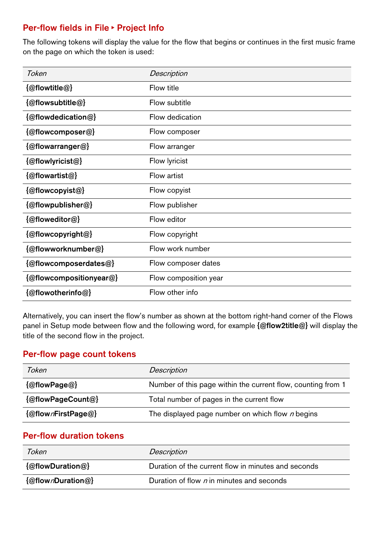## Per-flow fields in File ▶ Project Info

The following tokens will display the value for the flow that begins or continues in the first music frame on the page on which the token is used:

| Token                                                       | Description           |
|-------------------------------------------------------------|-----------------------|
| $\{\textcircled{a}$ flowtitle $\textcircled{a}\}$           | Flow title            |
| {@flowsubtitle@}                                            | Flow subtitle         |
| {@flowdedication@}                                          | Flow dedication       |
| $\{\textcircled{a}$ flowcomposer $\textcircled{a}\}$        | Flow composer         |
| $\{\textcircled{a}$ flowarranger $\textcircled{a}\}$        | Flow arranger         |
| $\{\textcircled{a}$ flowlyricist $\textcircled{a}\}$        | Flow lyricist         |
| $\{\textcircled{a}$ flowartist $\textcircled{a}\}$          | Flow artist           |
| {@flowcopyist@}                                             | Flow copyist          |
| $\{\textcircled{a}$ flowpublisher $\textcircled{a}\}$       | Flow publisher        |
| $\{\textcircled{a}$ floweditor $\textcircled{a}\}$          | Flow editor           |
| $\{\textcircled{a}$ flowcopyright $\textcircled{a}\}$       | Flow copyright        |
| {@flowworknumber@}                                          | Flow work number      |
| $\{\textcircled{a}$ flowcomposerdates $\textcircled{a}\}$   | Flow composer dates   |
| $\{\textcircled{a}$ flowcompositionyear $\textcircled{a}\}$ | Flow composition year |
| $\{\textcircled{a}$ flowotherinfo $\textcircled{a}\}$       | Flow other info       |

Alternatively, you can insert the flow's number as shown at the bottom right-hand corner of the Flows panel in Setup mode between flow and the following word, for example {@flow2title@} will display the title of the second flow in the project.

#### Per-flow page count tokens

| Token                                            | <b>Description</b>                                           |
|--------------------------------------------------|--------------------------------------------------------------|
| $\{\textcircled{a}$ flowPage $\textcircled{a}\}$ | Number of this page within the current flow, counting from 1 |
| {@flowPageCount@}                                | Total number of pages in the current flow                    |
| {@flownFirstPage@}                               | The displayed page number on which flow $n$ begins           |

#### Per-flow duration tokens

| Token             | <b>Description</b>                                  |
|-------------------|-----------------------------------------------------|
| {@flowDuration@}  | Duration of the current flow in minutes and seconds |
| {@flownDuration@} | Duration of flow n in minutes and seconds           |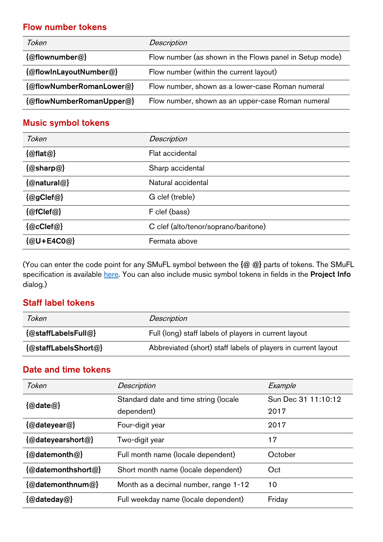### Flow number tokens

| Token                                              | <b>Description</b>                                      |
|----------------------------------------------------|---------------------------------------------------------|
| $\{\textcircled{a}$ flownumber $\textcircled{a}\}$ | Flow number (as shown in the Flows panel in Setup mode) |
| {@flowInLayoutNumber@}                             | Flow number (within the current layout)                 |
| {@flowNumberRomanLower@}                           | Flow number, shown as a lower-case Roman numeral        |
| {@flowNumberRomanUpper@}                           | Flow number, shown as an upper-case Roman numeral       |

# Music symbol tokens

| Token                                          | <b>Description</b>                   |
|------------------------------------------------|--------------------------------------|
| $\{\textcircled{a}$ flat $\textcircled{a}\}$   | Flat accidental                      |
| $\{\textcircled{a}$ sharp $\textcircled{a}\}$  | Sharp accidental                     |
| {@natural@}                                    | Natural accidental                   |
| $\{\textcircled{a}$ gClef $\textcircled{a}\}$  | G clef (treble)                      |
| $\{\textcircled{a}$ fClef $\textcircled{a}\}$  | F clef (bass)                        |
| $\{\textcircled{a}$ cClef $\textcircled{a}\}$  | C clef (alto/tenor/soprano/baritone) |
| $\{\textcircled{a}$ U+E4C0 $\textcircled{a}\}$ | Fermata above                        |

(You can enter the code point for any SMuFL symbol between the  $\{\textcircled{a}\textcircled{a}\}$  parts of tokens. The SMuFL specification is availabl[e here.](https://w3c.github.io/smufl/gitbook/) You can also include music symbol tokens in fields in the Project Info dialog.)

## Staff label tokens

| Token                | <b>Description</b>                                            |
|----------------------|---------------------------------------------------------------|
| {@staffLabelsFull@}  | Full (long) staff labels of players in current layout         |
| {@staffLabelsShort@} | Abbreviated (short) staff labels of players in current layout |

## Date and time tokens

| Token                                            | <b>Description</b>                    | Example             |
|--------------------------------------------------|---------------------------------------|---------------------|
| $\{\textcircled{a}$ date $\textcircled{a}\}$     | Standard date and time string (locale | Sun Dec 31 11:10:12 |
|                                                  | dependent)                            | 2017                |
| $\{\textcircled{a}$ dateyear $\textcircled{a}\}$ | Four-digit year                       | 2017                |
| {@dateyearshort@}                                | Two-digit year                        | 17                  |
| {@datemonth@}                                    | Full month name (locale dependent)    | October             |
| {@datemonthshort@}                               | Short month name (locale dependent)   | Oct                 |
| {@datemonthnum@}                                 | Month as a decimal number, range 1-12 | 10                  |
| {@dateday@}                                      | Full weekday name (locale dependent)  | Friday              |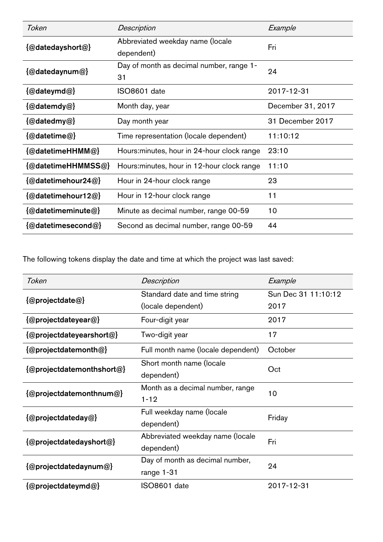| Token                                                  | <b>Description</b>                          | Example           |  |
|--------------------------------------------------------|---------------------------------------------|-------------------|--|
| {@datedayshort@}                                       | Abbreviated weekday name (locale            | Fri               |  |
|                                                        | dependent)                                  |                   |  |
| $\{\textcircled{a}$ datedaynum $\textcircled{a}\}$     | Day of month as decimal number, range 1-    | 24                |  |
|                                                        | 31                                          |                   |  |
| $\{\textcircled{a}$ dateymd $\textcircled{a}\}$        | ISO8601 date                                | 2017-12-31        |  |
| $\{\textcircled{a}$ datemdy $\textcircled{a}\}$        | Month day, year                             | December 31, 2017 |  |
| $\{\textcircled{a}$ datedmy $\textcircled{a}\}$        | Day month year                              | 31 December 2017  |  |
| $\{\textcircled{a}$ datetime $\textcircled{a}\}$       | Time representation (locale dependent)      | 11:10:12          |  |
| {@datetimeHHMM@}                                       | Hours: minutes, hour in 24-hour clock range | 23:10             |  |
| {@datetimeHHMMSS@}                                     | Hours: minutes, hour in 12-hour clock range | 11:10             |  |
| $\{\textcircled{a}$ datetimehour24 $\textcircled{a}\}$ | Hour in 24-hour clock range                 | 23                |  |
| {@datetimehour12@}                                     | Hour in 12-hour clock range                 | 11                |  |
| $\{\textcircled{a}$ datetimeminute $\textcircled{a}\}$ | Minute as decimal number, range 00-59       | 10                |  |
| {@datetimesecond@}                                     | Second as decimal number, range 00-59       | 44                |  |

The following tokens display the date and time at which the project was last saved:

| Token                                                          | <b>Description</b>                 | Example             |
|----------------------------------------------------------------|------------------------------------|---------------------|
| $\{\textcircled{a}$ projectdate $\textcircled{a}\}$            | Standard date and time string      | Sun Dec 31 11:10:12 |
|                                                                | (locale dependent)                 | 2017                |
| $\{\textcircled{a}$ projectdateyear $\textcircled{a}\}$        | Four-digit year                    | 2017                |
| {@projectdateyearshort@}                                       | Two-digit year                     | 17                  |
| $\{\omega$ projectdatemonth $\omega\}$                         | Full month name (locale dependent) | October             |
| {@projectdatemonthshort@}                                      | Short month name (locale           | Oct                 |
|                                                                | dependent)                         |                     |
|                                                                | Month as a decimal number, range   | 10                  |
| $\{\textcircled{a}$ project datemonth num $\textcircled{a}\}$  | $1 - 12$                           |                     |
| $\{\textcircled{a}$ projectdateday $\textcircled{a}\}$         | Full weekday name (locale          | Friday              |
|                                                                | dependent)                         |                     |
| $\{\textcircled{a}$ project date days hort $\textcircled{a}\}$ | Abbreviated weekday name (locale   | Fri                 |
|                                                                | dependent)                         |                     |
| $\{\omega$ projectdatedaynum $\omega\}$                        | Day of month as decimal number,    | 24                  |
|                                                                | range 1-31                         |                     |
| $\{\textcircled{a}$ projectdateymd $\textcircled{a}\}$         | ISO8601 date                       | 2017-12-31          |